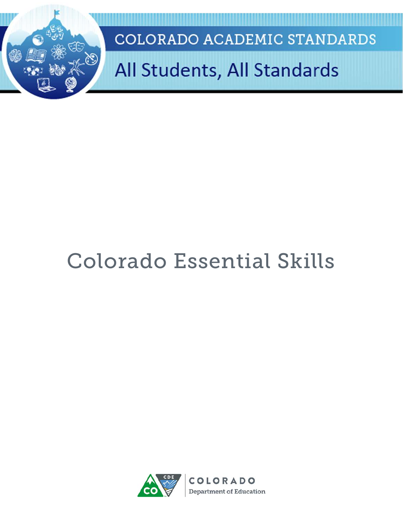

# Colorado Essential Skills

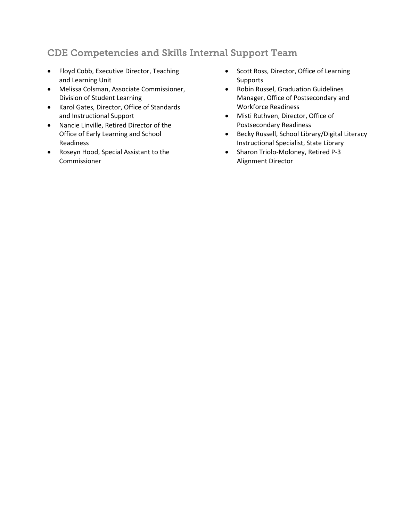## CDE Competencies and Skills Internal Support Team

- Floyd Cobb, Executive Director, Teaching and Learning Unit
- Melissa Colsman, Associate Commissioner, Division of Student Learning
- Karol Gates, Director, Office of Standards and Instructional Support
- Nancie Linville, Retired Director of the Office of Early Learning and School Readiness
- Roseyn Hood, Special Assistant to the Commissioner
- Scott Ross, Director, Office of Learning **Supports**
- Robin Russel, Graduation Guidelines Manager, Office of Postsecondary and Workforce Readiness
- Misti Ruthven, Director, Office of Postsecondary Readiness
- Becky Russell, School Library/Digital Literacy Instructional Specialist, State Library
- Sharon Triolo-Moloney, Retired P-3 Alignment Director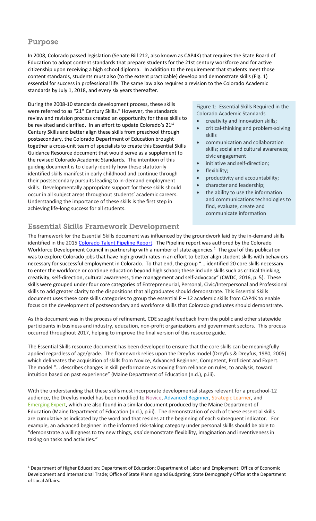### Purpose

In 2008, Colorado passed legislation (Senate Bill 212, also known as CAP4K) that requires the State Board of Education to adopt content standards that prepare students for the 21st century workforce and for active citizenship upon receiving a high school diploma. In addition to the requirement that students meet those content standards, students must also (to the extent practicable) develop and demonstrate skills (Fig. 1) essential for success in professional life. The same law also requires a revision to the Colorado Academic standards by July 1, 2018, and every six years thereafter.

During the 2008-10 standards development process, these skills were referred to as "21<sup>st</sup> Century Skills." However, the standards review and revision process created an opportunity for these skills to be revisited and clarified. In an effort to update Colorado's 21st Century Skills and better align these skills from preschool through postsecondary, the Colorado Department of Education brought together a cross-unit team of specialists to create this Essential Skills Guidance Resource document that would serve as a supplement to the revised Colorado Academic Standards. The intention of this guiding document is to clearly identify how these statutorily identified skills manifest in early childhood and continue through their postsecondary pursuits leading to in-demand employment skills. Developmentally appropriate support for these skills should occur in all subject areas throughout students' academic careers. Understanding the importance of these skills is the first step in achieving life-long success for all students.

## Essential Skills Framework Development

Figure 1: Essential Skills Required in the Colorado Academic Standards

- creativity and innovation skills;
- critical-thinking and problem-solving skills
- communication and collaboration skills; social and cultural awareness; civic engagement
- initiative and self-direction;
- flexibility;
- productivity and accountability;
- character and leadership;
- the ability to use the information and communications technologies to find, evaluate, create and communicate information

The framework for the Essential Skills document was influenced by the groundwork laid by the in-demand skills identified in the 2015 [Colorado Talent Pipeline Report.](https://www.colorado.gov/pacific/sites/default/files/2015%20Talent%20Pipeline%20Report.pdf) The Pipeline report was authored by the Colorado Workforce Development Council in partnership with a number of state agencies.<sup>[1](#page-2-0)</sup> The goal of this publication was to explore Colorado jobs that have high growth rates in an effort to better align student skills with behaviors necessary for successful employment in Colorado. To that end, the group "… identified 20 core skills necessary to enter the workforce or continue education beyond high school; these include skills such as critical thinking, creativity, self-direction, cultural awareness, time management and self-advocacy" (CWDC, 2016, p. 5). These skills were grouped under four core categories of Entrepreneurial, Personal, Civic/Interpersonal and Professional skills to add greater clarity to the dispositions that all graduates should demonstrate. This Essential Skills document uses these core skills categories to group the essential P – 12 academic skills from CAP4K to enable focus on the development of postsecondary and workforce skills that Colorado graduates should demonstrate.

As this document was in the process of refinement, CDE sought feedback from the public and other statewide participants in business and industry, education, non-profit organizations and government sectors. This process occurred throughout 2017, helping to improve the final version of this resource guide.

The Essential Skills resource document has been developed to ensure that the core skills can be meaningfully applied regardless of age/grade. The framework relies upon the Dreyfus model (Dreyfus & Dreyfus, 1980, 2005) which delineates the acquisition of skills from Novice, Advanced Beginner, Competent, Proficient and Expert. The model "… describes changes in skill performance as moving from reliance on rules, to analysis, toward intuition based on past experience" (Maine Department of Education (n.d.), p.iii).

With the understanding that these skills must incorporate developmental stages relevant for a preschool-12 audience, the Dreyfus model has been modified to Novice, Advanced Beginner, Strategic Learner, and Emerging Expert, which are also found in a similar document produced by the Maine Department of Education (Maine Department of Education (n.d.), p.iii). The demonstration of each of these essential skills are cumulative as indicated by the word and that resides at the beginning of each subsequent indicator. For example, an advanced beginner in the informed risk-taking category under personal skills should be able to "demonstrate a willingness to try new things, *and* demonstrate flexibility, imagination and inventiveness in taking on tasks and activities."

<span id="page-2-0"></span><sup>&</sup>lt;sup>1</sup> Department of Higher Education; Department of Education; Department of Labor and Employment; Office of Economic Development and International Trade; Office of State Planning and Budgeting; State Demography Office at the Department of Local Affairs.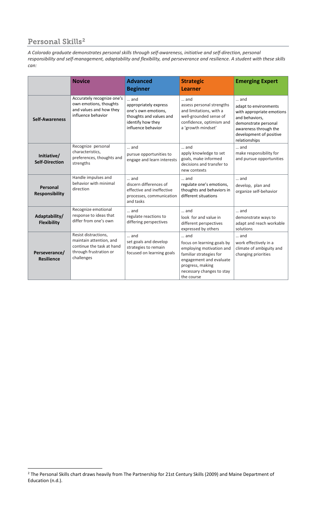# Personal Skills<sup>[2](#page-3-0)</sup>

*A Colorado graduate demonstrates personal skills through self-awareness, initiative and self-direction, personal responsibility and self-management, adaptability and flexibility, and perseverance and resilience. A student with these skills can:*

|                                      | <b>Novice</b>                                                                                                        | <b>Advanced</b><br><b>Beginner</b>                                                                                                 | <b>Strategic</b><br><b>Learner</b>                                                                                                                                                          | <b>Emerging Expert</b>                                                                                                                                                   |
|--------------------------------------|----------------------------------------------------------------------------------------------------------------------|------------------------------------------------------------------------------------------------------------------------------------|---------------------------------------------------------------------------------------------------------------------------------------------------------------------------------------------|--------------------------------------------------------------------------------------------------------------------------------------------------------------------------|
| <b>Self-Awareness</b>                | Accurately recognize one's<br>own emotions, thoughts<br>and values and how they<br>influence behavior                | $\ldots$ and<br>appropriately express<br>one's own emotions,<br>thoughts and values and<br>identify how they<br>influence behavior | $\dots$ and<br>assess personal strengths<br>and limitations, with a<br>well-grounded sense of<br>confidence, optimism and<br>a 'growth mindset'                                             | and<br>adapt to environments<br>with appropriate emotions<br>and behaviors,<br>demonstrate personal<br>awareness through the<br>development of positive<br>relationships |
| Initiative/<br><b>Self-Direction</b> | Recognize personal<br>characteristics,<br>preferences, thoughts and<br>strengths                                     | and<br>pursue opportunities to<br>engage and learn interests                                                                       | $\ldots$ and<br>apply knowledge to set<br>goals, make informed<br>decisions and transfer to<br>new contexts                                                                                 | $\ldots$ and<br>make responsibility for<br>and pursue opportunities                                                                                                      |
| Personal<br><b>Responsibility</b>    | Handle impulses and<br>behavior with minimal<br>direction                                                            | $\ldots$ and<br>discern differences of<br>effective and ineffective<br>processes, communication<br>and tasks                       | $\dots$ and<br>regulate one's emotions,<br>thoughts and behaviors in<br>different situations                                                                                                | $\ldots$ and<br>develop, plan and<br>organize self-behavior                                                                                                              |
| Adaptability/<br><b>Flexibility</b>  | Recognize emotional<br>response to ideas that<br>differ from one's own                                               | $\dots$ and<br>regulate reactions to<br>differing perspectives                                                                     | $\dots$ and<br>look for and value in<br>different perspectives<br>expressed by others                                                                                                       | $\dots$ and<br>demonstrate ways to<br>adapt and reach workable<br>solutions                                                                                              |
| Perseverance/<br><b>Resilience</b>   | Resist distractions,<br>maintain attention, and<br>continue the task at hand<br>through frustration or<br>challenges | $\ldots$ and<br>set goals and develop<br>strategies to remain<br>focused on learning goals                                         | $\ldots$ and<br>focus on learning goals by<br>employing motivation and<br>familiar strategies for<br>engagement and evaluate<br>progress, making<br>necessary changes to stay<br>the course | and<br>work effectively in a<br>climate of ambiguity and<br>changing priorities                                                                                          |

<span id="page-3-0"></span><sup>&</sup>lt;sup>2</sup> The Personal Skills chart draws heavily from The Partnership for 21st Century Skills (2009) and Maine Department of Education (n.d.).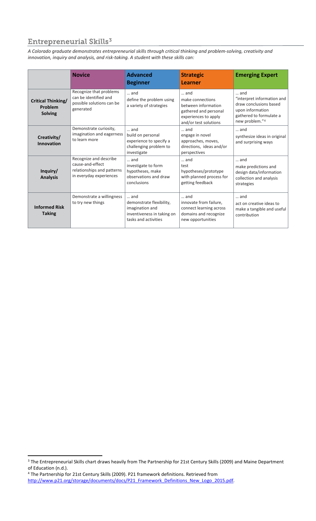# Entrepreneurial Skills<sup>[3](#page-4-0)</sup>

*A Colorado graduate demonstrates entrepreneurial skills through critical thinking and problem-solving, creativity and innovation, inquiry and analysis, and risk-taking. A student with these skills can:*

|                                                        | <b>Novice</b>                                                                                       | <b>Advanced</b><br><b>Beginner</b>                                                                               | <b>Strategic</b><br><b>Learner</b>                                                                                       | <b>Emerging Expert</b>                                                                                                       |
|--------------------------------------------------------|-----------------------------------------------------------------------------------------------------|------------------------------------------------------------------------------------------------------------------|--------------------------------------------------------------------------------------------------------------------------|------------------------------------------------------------------------------------------------------------------------------|
| <b>Critical Thinking/</b><br>Problem<br><b>Solving</b> | Recognize that problems<br>can be identified and<br>possible solutions can be<br>generated          | and<br>define the problem using<br>a variety of strategies                                                       | and<br>make connections<br>between information<br>gathered and personal<br>experiences to apply<br>and/or test solutions | and<br>"interpret information and<br>draw conclusions based<br>upon information<br>gathered to formulate a<br>new problem."4 |
| Creativity/<br><b>Innovation</b>                       | Demonstrate curiosity,<br>imagination and eagerness<br>to learn more                                | $\dots$ and<br>build on personal<br>experience to specify a<br>challenging problem to<br>investigate             | $\dots$ and<br>engage in novel<br>approaches, moves,<br>directions, ideas and/or<br>perspectives                         | and<br>synthesize ideas in original<br>and surprising ways                                                                   |
| Inquiry/<br><b>Analysis</b>                            | Recognize and describe<br>cause-and-effect<br>relationships and patterns<br>in everyday experiences | $\dots$ and<br>investigate to form<br>hypotheses, make<br>observations and draw<br>conclusions                   | $\ldots$ and<br>test<br>hypotheses/prototype<br>with planned process for<br>getting feedback                             | and<br>make predictions and<br>design data/information<br>collection and analysis<br>strategies                              |
| <b>Informed Risk</b><br><b>Taking</b>                  | Demonstrate a willingness<br>to try new things                                                      | $\dots$ and<br>demonstrate flexibility,<br>imagination and<br>inventiveness in taking on<br>tasks and activities | and<br>innovate from failure,<br>connect learning across<br>domains and recognize<br>new opportunities                   | and<br>act on creative ideas to<br>make a tangible and useful<br>contribution                                                |

<span id="page-4-0"></span><sup>&</sup>lt;sup>3</sup> The Entrepreneurial Skills chart draws heavily from The Partnership for 21st Century Skills (2009) and Maine Department of Education (n.d.).

<span id="page-4-1"></span><sup>4</sup> The Partnership for 21st Century Skills (2009). P21 framework definitions. Retrieved from [http://www.p21.org/storage/documents/docs/P21\\_Framework\\_Definitions\\_New\\_Logo\\_2015.pdf.](http://www.p21.org/storage/documents/docs/P21_Framework_Definitions_New_Logo_2015.pdf)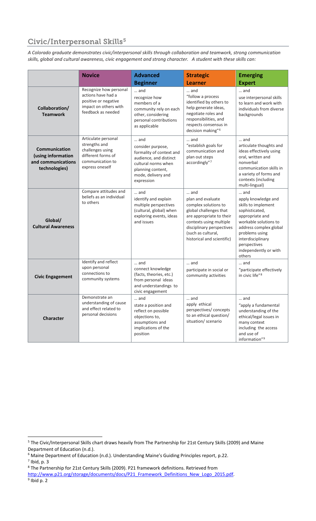# Civic/Interpersonal Skills<sup>[5](#page-5-0)</sup>

*A Colorado graduate demonstrates civic/interpersonal skills through collaboration and teamwork, strong communication skills, global and cultural awareness, civic engagement and strong character. A student with these skills can:*

|                                                                                   | <b>Novice</b>                                                                                                         | <b>Advanced</b><br><b>Beginner</b>                                                                                                                             | <b>Strategic</b><br><b>Learner</b>                                                                                                                                                                                 | <b>Emerging</b><br><b>Expert</b>                                                                                                                                                                                                            |
|-----------------------------------------------------------------------------------|-----------------------------------------------------------------------------------------------------------------------|----------------------------------------------------------------------------------------------------------------------------------------------------------------|--------------------------------------------------------------------------------------------------------------------------------------------------------------------------------------------------------------------|---------------------------------------------------------------------------------------------------------------------------------------------------------------------------------------------------------------------------------------------|
| Collaboration/<br><b>Teamwork</b>                                                 | Recognize how personal<br>actions have had a<br>positive or negative<br>impact on others with<br>feedback as needed   | and<br>recognize how<br>members of a<br>community rely on each<br>other, considering<br>personal contributions<br>as applicable                                | and<br>"follow a process<br>identified by others to<br>help generate ideas,<br>negotiate roles and<br>responsibilities, and<br>respects consensus in<br>decision making" <sup>6</sup>                              | $\ldots$ and<br>use interpersonal skills<br>to learn and work with<br>individuals from diverse<br>backgrounds                                                                                                                               |
| <b>Communication</b><br>(using information<br>and communications<br>technologies) | Articulate personal<br>strengths and<br>challenges using<br>different forms of<br>communication to<br>express oneself | and<br>consider purpose,<br>formality of context and<br>audience, and distinct<br>cultural norms when<br>planning content,<br>mode, delivery and<br>expression | and<br>"establish goals for<br>communication and<br>plan out steps<br>accordingly"7                                                                                                                                | and<br>articulate thoughts and<br>ideas effectively using<br>oral, written and<br>nonverbal<br>communication skills in<br>a variety of forms and<br>contexts (including<br>multi-lingual)                                                   |
| Global/<br><b>Cultural Awareness</b>                                              | Compare attitudes and<br>beliefs as an individual<br>to others                                                        | and<br>identify and explain<br>multiple perspectives<br>(cultural, global) when<br>exploring events, ideas<br>and issues                                       | and<br>plan and evaluate<br>complex solutions to<br>global challenges that<br>are appropriate to their<br>contexts using multiple<br>disciplinary perspectives<br>(such as cultural,<br>historical and scientific) | $\dots$ and<br>apply knowledge and<br>skills to implement<br>sophisticated,<br>appropriate and<br>workable solutions to<br>address complex global<br>problems using<br>interdisciplinary<br>perspectives<br>independently or with<br>others |
| <b>Civic Engagement</b>                                                           | Identify and reflect<br>upon personal<br>connections to<br>community systems                                          | and<br>connect knowledge<br>(facts, theories, etc.)<br>from personal ideas<br>and understandings to<br>civic engagement                                        | and<br>participate in social or<br>community activities                                                                                                                                                            | and<br>"participate effectively<br>in civic life" <sup>8</sup>                                                                                                                                                                              |
| <b>Character</b>                                                                  | Demonstrate an<br>understanding of cause<br>and effect related to<br>personal decisions                               | and<br>state a position and<br>reflect on possible<br>objections to,<br>assumptions and<br>implications of the<br>position                                     | and<br>apply ethical<br>perspectives/concepts<br>to an ethical question/<br>situation/ scenario                                                                                                                    | and<br>"apply a fundamental<br>understanding of the<br>ethical/legal issues in<br>many context<br>including the access<br>and use of<br>information"9                                                                                       |

<span id="page-5-0"></span><sup>&</sup>lt;sup>5</sup> The Civic/Interpersonal Skills chart draws heavily from The Partnership for 21st Century Skills (2009) and Maine Department of Education (n.d.).

<span id="page-5-1"></span><sup>6</sup> Maine Department of Education (n.d.). Understanding Maine's Guiding Principles report, p.22.

<span id="page-5-2"></span><sup>7</sup> Ibid, p. 3

<span id="page-5-3"></span><sup>8</sup> The Partnership for 21st Century Skills (2009). P21 framework definitions. Retrieved from

<span id="page-5-4"></span>[http://www.p21.org/storage/documents/docs/P21\\_Framework\\_Definitions\\_New\\_Logo\\_2015.pdf.](http://www.p21.org/storage/documents/docs/P21_Framework_Definitions_New_Logo_2015.pdf) 9 Ibid p. 2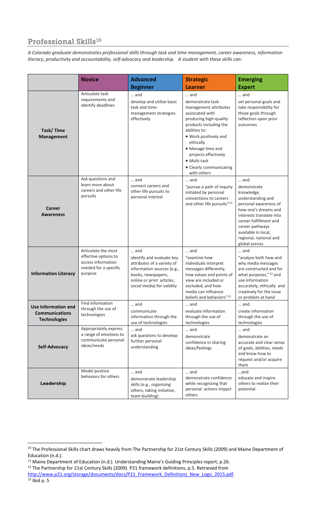# Professional Skills<sup>10</sup>

*A Colorado graduate demonstrates professional skills through task and time management, career awareness, information literacy, productivity and accountability, self-advocacy and leadership. A student with these skills can:*

|                                                                     | <b>Novice</b>                                                                                         | <b>Advanced</b>                                                                                                                                                               | <b>Strategic</b>                                                                                                                                                                                                                                                                       | <b>Emerging</b>                                                                                                                                                                                                                                   |
|---------------------------------------------------------------------|-------------------------------------------------------------------------------------------------------|-------------------------------------------------------------------------------------------------------------------------------------------------------------------------------|----------------------------------------------------------------------------------------------------------------------------------------------------------------------------------------------------------------------------------------------------------------------------------------|---------------------------------------------------------------------------------------------------------------------------------------------------------------------------------------------------------------------------------------------------|
|                                                                     |                                                                                                       | <b>Beginner</b>                                                                                                                                                               | <b>Learner</b>                                                                                                                                                                                                                                                                         | <b>Expert</b>                                                                                                                                                                                                                                     |
| <b>Task/Time</b><br><b>Management</b>                               | Articulate task<br>requirements and<br>identify deadlines                                             | and<br>develop and utilize basic<br>task and time-<br>management strategies<br>effectively                                                                                    | and<br>demonstrate task-<br>management attributes<br>associated with<br>producing high-quality<br>products including the<br>abilities to:<br>. Work positively and<br>ethically<br>• Manage time and<br>projects effectively<br>• Multi-task<br>• Clearly communicating<br>with others | and<br>set personal goals and<br>take responsibility for<br>those goals through<br>reflection upon prior<br>outcomes                                                                                                                              |
| Career<br><b>Awareness</b>                                          | Ask questions and<br>learn more about<br>careers and other life<br>pursuits                           | and<br>connect careers and<br>other life pursuits to<br>personal interest                                                                                                     | and<br>"pursue a path of inquiry<br>initiated by personal<br>connections to careers<br>and other life pursuits" <sup>11</sup>                                                                                                                                                          | and<br>demonstrate<br>knowledge,<br>understanding and<br>personal awareness of<br>how one's dreams and<br>interests translate into<br>career fulfillment and<br>career pathways<br>available in local,<br>regional, national and<br>global arenas |
| <b>Information Literacy</b>                                         | Articulate the most<br>effective options to<br>access information<br>needed for a specific<br>purpose | and<br>identify and evaluate key<br>attributes of a variety of<br>information sources (e.g.,<br>books, newspapers,<br>online or print articles,<br>social media) for validity | and<br>"examine how<br>individuals interpret<br>messages differently,<br>how values and points of<br>view are included or<br>excluded, and how<br>media can influence<br>beliefs and behaviors" <sup>12</sup>                                                                          | and<br>"analyze both how and<br>why media messages<br>are constructed and for<br>what purposes,"13 and<br>use information<br>accurately, ethically and<br>creatively for the issue<br>or problem at hand                                          |
| Use Information and<br><b>Communications</b><br><b>Technologies</b> | Find information<br>through the use of<br>technologies                                                | $\ldots$ and<br>communicate<br>information through the<br>use of technologies                                                                                                 | and<br>evaluate information<br>through the use of<br>technologies                                                                                                                                                                                                                      | $\ldots$ and<br>create information<br>through the use of<br>technologies                                                                                                                                                                          |
| Self-Advocacy                                                       | Appropriately express<br>a range of emotions to<br>communicate personal<br>ideas/needs                | and<br>ask questions to develop<br>further personal<br>understanding                                                                                                          | and<br>demonstrate<br>confidence in sharing<br>ideas/feelings                                                                                                                                                                                                                          | and<br>demonstrate an<br>accurate and clear sense<br>of goals, abilities, needs<br>and know how to<br>request and/or acquire<br>them                                                                                                              |
| Leadership                                                          | Model positive<br>behaviors for others                                                                | and<br>demonstrate leadership<br>skills (e.g., organizing<br>others, taking initiative,<br>team-building)                                                                     | and<br>demonstrate confidence<br>while recognizing that<br>personal actions impact<br>others                                                                                                                                                                                           | and<br>educate and inspire<br>others to realize their<br>potential                                                                                                                                                                                |

<span id="page-6-2"></span><sup>12</sup> The Partnership for 21st Century Skills (2009). P21 framework definitions, p.5. Retrieved from

<span id="page-6-0"></span><sup>&</sup>lt;sup>10</sup> The Professional Skills chart draws heavily from The Partnership for 21st Century Skills (2009) and Maine Department of Education (n.d.).

<span id="page-6-1"></span><sup>&</sup>lt;sup>11</sup> Maine Department of Education (n.d.). Understanding Maine's Guiding Principles report, p.26.

<span id="page-6-3"></span>[http://www.p21.org/storage/documents/docs/P21\\_Framework\\_Definitions\\_New\\_Logo\\_2015.pdf.](http://www.p21.org/storage/documents/docs/P21_Framework_Definitions_New_Logo_2015.pdf)<br><sup>13</sup> Ibid p. 5